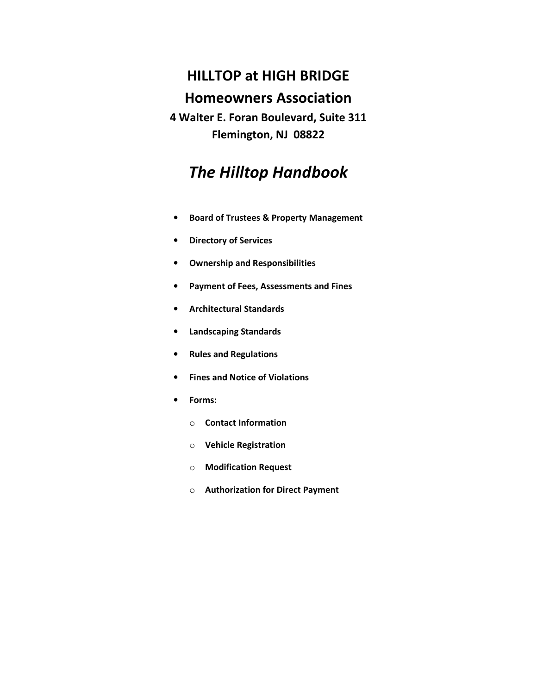# HILLTOP at HIGH BRIDGE Homeowners Association 4 Walter E. Foran Boulevard, Suite 311 Flemington, NJ 08822

# The Hilltop Handbook

- Board of Trustees & Property Management
- Directory of Services
- Ownership and Responsibilities
- Payment of Fees, Assessments and Fines
- Architectural Standards
- Landscaping Standards
- Rules and Regulations
- Fines and Notice of Violations
- Forms:
	- o Contact Information
	- o Vehicle Registration
	- o Modification Request
	- o Authorization for Direct Payment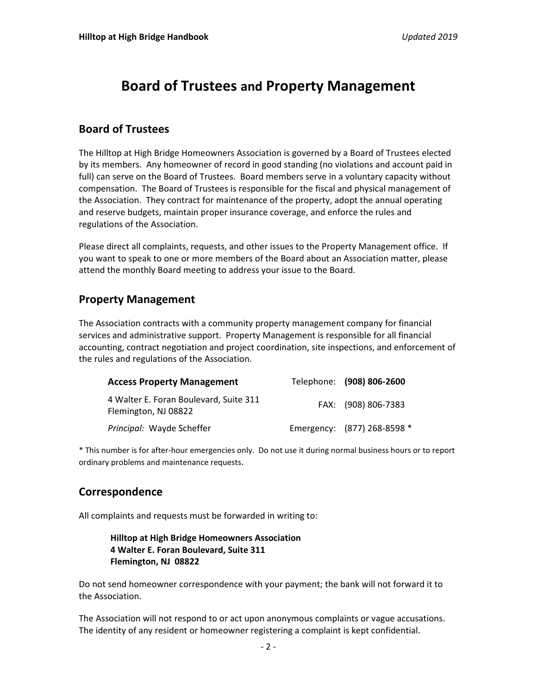# Board of Trustees and Property Management

### Board of Trustees

The Hilltop at High Bridge Homeowners Association is governed by a Board of Trustees elected by its members. Any homeowner of record in good standing (no violations and account paid in full) can serve on the Board of Trustees. Board members serve in a voluntary capacity without compensation. The Board of Trustees is responsible for the fiscal and physical management of the Association. They contract for maintenance of the property, adopt the annual operating and reserve budgets, maintain proper insurance coverage, and enforce the rules and regulations of the Association.

Please direct all complaints, requests, and other issues to the Property Management office. If you want to speak to one or more members of the Board about an Association matter, please attend the monthly Board meeting to address your issue to the Board.

### Property Management

The Association contracts with a community property management company for financial services and administrative support. Property Management is responsible for all financial accounting, contract negotiation and project coordination, site inspections, and enforcement of the rules and regulations of the Association.

| <b>Access Property Management</b>                              | Telephone: (908) 806-2600   |
|----------------------------------------------------------------|-----------------------------|
| 4 Walter E. Foran Boulevard, Suite 311<br>Flemington, NJ 08822 | FAX: (908) 806-7383         |
| Principal: Wayde Scheffer                                      | Emergency: (877) 268-8598 * |

\* This number is for after-hour emergencies only. Do not use it during normal business hours or to report ordinary problems and maintenance requests.

# Correspondence

All complaints and requests must be forwarded in writing to:

Hilltop at High Bridge Homeowners Association 4 Walter E. Foran Boulevard, Suite 311 Flemington, NJ 08822

Do not send homeowner correspondence with your payment; the bank will not forward it to the Association.

The Association will not respond to or act upon anonymous complaints or vague accusations. The identity of any resident or homeowner registering a complaint is kept confidential.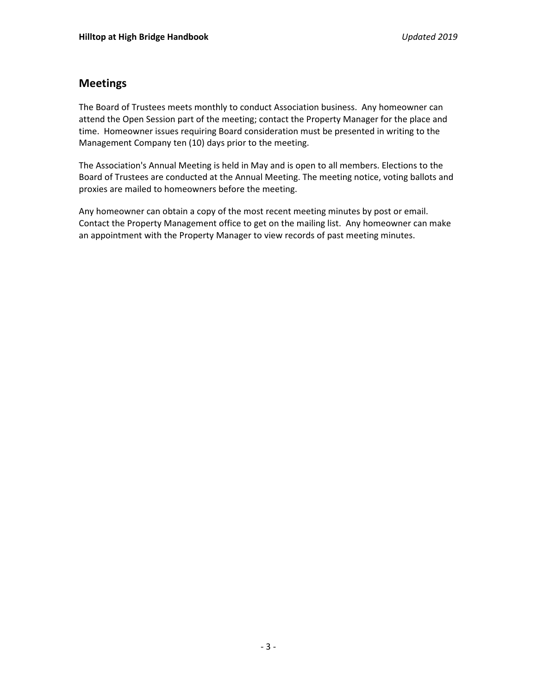## Meetings

The Board of Trustees meets monthly to conduct Association business. Any homeowner can attend the Open Session part of the meeting; contact the Property Manager for the place and time. Homeowner issues requiring Board consideration must be presented in writing to the Management Company ten (10) days prior to the meeting.

The Association's Annual Meeting is held in May and is open to all members. Elections to the Board of Trustees are conducted at the Annual Meeting. The meeting notice, voting ballots and proxies are mailed to homeowners before the meeting.

Any homeowner can obtain a copy of the most recent meeting minutes by post or email. Contact the Property Management office to get on the mailing list. Any homeowner can make an appointment with the Property Manager to view records of past meeting minutes.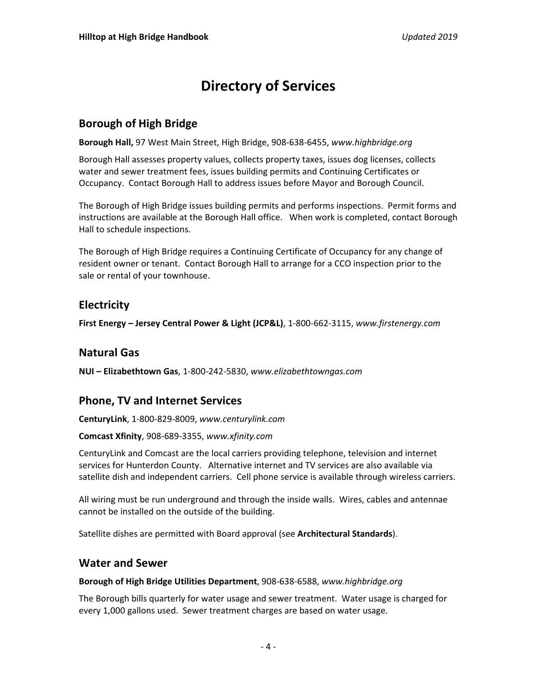# Directory of Services

### Borough of High Bridge

Borough Hall, 97 West Main Street, High Bridge, 908-638-6455, www.highbridge.org

Borough Hall assesses property values, collects property taxes, issues dog licenses, collects water and sewer treatment fees, issues building permits and Continuing Certificates or Occupancy. Contact Borough Hall to address issues before Mayor and Borough Council.

The Borough of High Bridge issues building permits and performs inspections. Permit forms and instructions are available at the Borough Hall office. When work is completed, contact Borough Hall to schedule inspections.

The Borough of High Bridge requires a Continuing Certificate of Occupancy for any change of resident owner or tenant. Contact Borough Hall to arrange for a CCO inspection prior to the sale or rental of your townhouse.

## **Electricity**

First Energy – Jersey Central Power & Light (JCP&L), 1-800-662-3115, www.firstenergy.com

### Natural Gas

NUI – Elizabethtown Gas, 1-800-242-5830, www.elizabethtowngas.com

### Phone, TV and Internet Services

CenturyLink, 1-800-829-8009, www.centurylink.com

Comcast Xfinity, 908-689-3355, www.xfinity.com

CenturyLink and Comcast are the local carriers providing telephone, television and internet services for Hunterdon County. Alternative internet and TV services are also available via satellite dish and independent carriers. Cell phone service is available through wireless carriers.

All wiring must be run underground and through the inside walls. Wires, cables and antennae cannot be installed on the outside of the building.

Satellite dishes are permitted with Board approval (see Architectural Standards).

### Water and Sewer

Borough of High Bridge Utilities Department, 908-638-6588, www.highbridge.org

The Borough bills quarterly for water usage and sewer treatment. Water usage is charged for every 1,000 gallons used. Sewer treatment charges are based on water usage.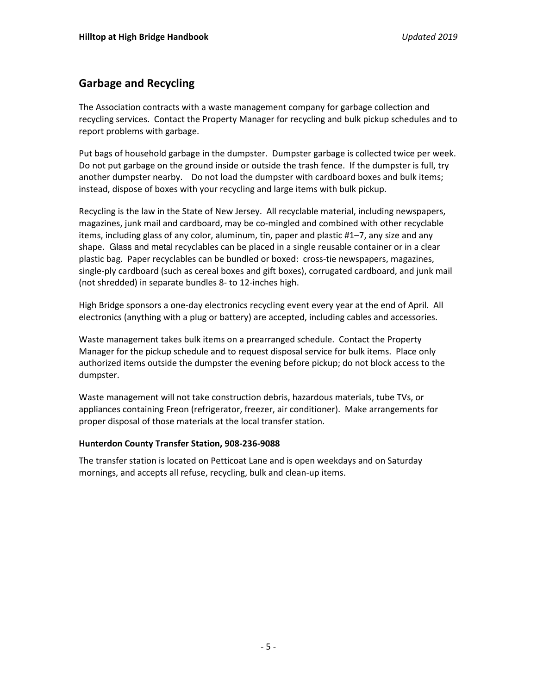# Garbage and Recycling

The Association contracts with a waste management company for garbage collection and recycling services. Contact the Property Manager for recycling and bulk pickup schedules and to report problems with garbage.

Put bags of household garbage in the dumpster. Dumpster garbage is collected twice per week. Do not put garbage on the ground inside or outside the trash fence. If the dumpster is full, try another dumpster nearby. Do not load the dumpster with cardboard boxes and bulk items; instead, dispose of boxes with your recycling and large items with bulk pickup.

Recycling is the law in the State of New Jersey. All recyclable material, including newspapers, magazines, junk mail and cardboard, may be co-mingled and combined with other recyclable items, including glass of any color, aluminum, tin, paper and plastic #1–7, any size and any shape. Glass and metal recyclables can be placed in a single reusable container or in a clear plastic bag. Paper recyclables can be bundled or boxed: cross-tie newspapers, magazines, single-ply cardboard (such as cereal boxes and gift boxes), corrugated cardboard, and junk mail (not shredded) in separate bundles 8- to 12-inches high.

High Bridge sponsors a one-day electronics recycling event every year at the end of April. All electronics (anything with a plug or battery) are accepted, including cables and accessories.

Waste management takes bulk items on a prearranged schedule. Contact the Property Manager for the pickup schedule and to request disposal service for bulk items. Place only authorized items outside the dumpster the evening before pickup; do not block access to the dumpster.

Waste management will not take construction debris, hazardous materials, tube TVs, or appliances containing Freon (refrigerator, freezer, air conditioner). Make arrangements for proper disposal of those materials at the local transfer station.

#### Hunterdon County Transfer Station, 908-236-9088

The transfer station is located on Petticoat Lane and is open weekdays and on Saturday mornings, and accepts all refuse, recycling, bulk and clean-up items.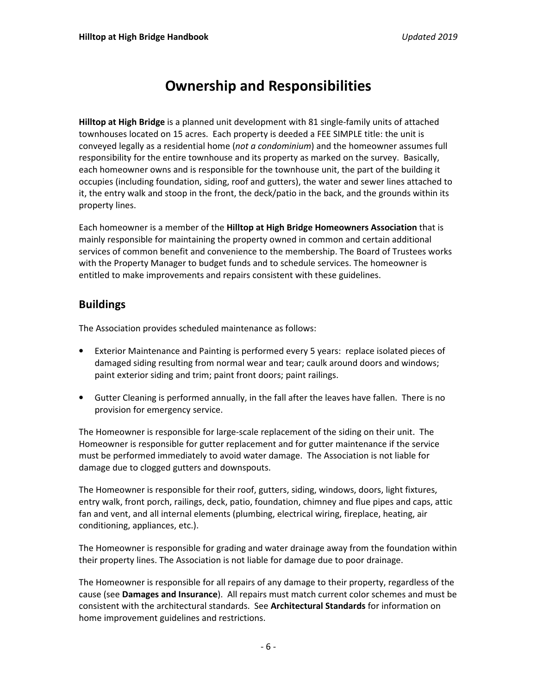# Ownership and Responsibilities

**Hilltop at High Bridge** is a planned unit development with 81 single-family units of attached townhouses located on 15 acres. Each property is deeded a FEE SIMPLE title: the unit is conveyed legally as a residential home (not a condominium) and the homeowner assumes full responsibility for the entire townhouse and its property as marked on the survey. Basically, each homeowner owns and is responsible for the townhouse unit, the part of the building it occupies (including foundation, siding, roof and gutters), the water and sewer lines attached to it, the entry walk and stoop in the front, the deck/patio in the back, and the grounds within its property lines.

Each homeowner is a member of the Hilltop at High Bridge Homeowners Association that is mainly responsible for maintaining the property owned in common and certain additional services of common benefit and convenience to the membership. The Board of Trustees works with the Property Manager to budget funds and to schedule services. The homeowner is entitled to make improvements and repairs consistent with these guidelines.

## **Buildings**

The Association provides scheduled maintenance as follows:

- Exterior Maintenance and Painting is performed every 5 years: replace isolated pieces of damaged siding resulting from normal wear and tear; caulk around doors and windows; paint exterior siding and trim; paint front doors; paint railings.
- Gutter Cleaning is performed annually, in the fall after the leaves have fallen. There is no provision for emergency service.

The Homeowner is responsible for large-scale replacement of the siding on their unit. The Homeowner is responsible for gutter replacement and for gutter maintenance if the service must be performed immediately to avoid water damage. The Association is not liable for damage due to clogged gutters and downspouts.

The Homeowner is responsible for their roof, gutters, siding, windows, doors, light fixtures, entry walk, front porch, railings, deck, patio, foundation, chimney and flue pipes and caps, attic fan and vent, and all internal elements (plumbing, electrical wiring, fireplace, heating, air conditioning, appliances, etc.).

The Homeowner is responsible for grading and water drainage away from the foundation within their property lines. The Association is not liable for damage due to poor drainage.

The Homeowner is responsible for all repairs of any damage to their property, regardless of the cause (see **Damages and Insurance**). All repairs must match current color schemes and must be consistent with the architectural standards. See Architectural Standards for information on home improvement guidelines and restrictions.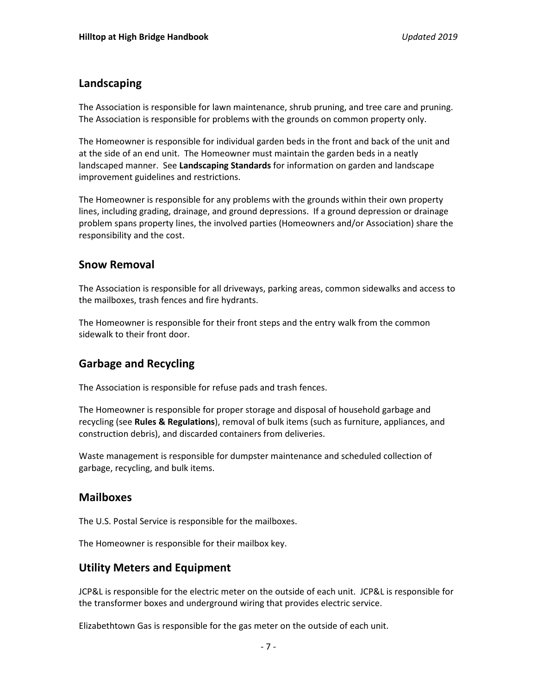## Landscaping

The Association is responsible for lawn maintenance, shrub pruning, and tree care and pruning. The Association is responsible for problems with the grounds on common property only.

The Homeowner is responsible for individual garden beds in the front and back of the unit and at the side of an end unit. The Homeowner must maintain the garden beds in a neatly landscaped manner. See Landscaping Standards for information on garden and landscape improvement guidelines and restrictions.

The Homeowner is responsible for any problems with the grounds within their own property lines, including grading, drainage, and ground depressions. If a ground depression or drainage problem spans property lines, the involved parties (Homeowners and/or Association) share the responsibility and the cost.

#### Snow Removal

The Association is responsible for all driveways, parking areas, common sidewalks and access to the mailboxes, trash fences and fire hydrants.

The Homeowner is responsible for their front steps and the entry walk from the common sidewalk to their front door.

# Garbage and Recycling

The Association is responsible for refuse pads and trash fences.

The Homeowner is responsible for proper storage and disposal of household garbage and recycling (see Rules & Regulations), removal of bulk items (such as furniture, appliances, and construction debris), and discarded containers from deliveries.

Waste management is responsible for dumpster maintenance and scheduled collection of garbage, recycling, and bulk items.

### Mailboxes

The U.S. Postal Service is responsible for the mailboxes.

The Homeowner is responsible for their mailbox key.

### Utility Meters and Equipment

JCP&L is responsible for the electric meter on the outside of each unit. JCP&L is responsible for the transformer boxes and underground wiring that provides electric service.

Elizabethtown Gas is responsible for the gas meter on the outside of each unit.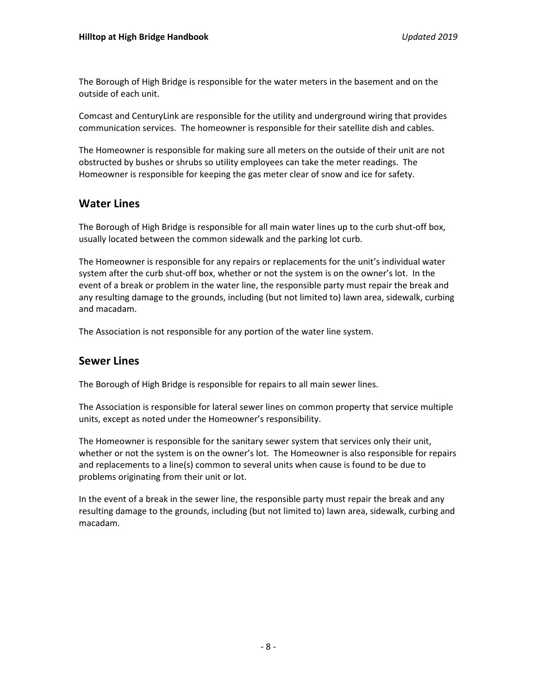The Borough of High Bridge is responsible for the water meters in the basement and on the outside of each unit.

Comcast and CenturyLink are responsible for the utility and underground wiring that provides communication services. The homeowner is responsible for their satellite dish and cables.

The Homeowner is responsible for making sure all meters on the outside of their unit are not obstructed by bushes or shrubs so utility employees can take the meter readings. The Homeowner is responsible for keeping the gas meter clear of snow and ice for safety.

#### Water Lines

The Borough of High Bridge is responsible for all main water lines up to the curb shut-off box, usually located between the common sidewalk and the parking lot curb.

The Homeowner is responsible for any repairs or replacements for the unit's individual water system after the curb shut-off box, whether or not the system is on the owner's lot. In the event of a break or problem in the water line, the responsible party must repair the break and any resulting damage to the grounds, including (but not limited to) lawn area, sidewalk, curbing and macadam.

The Association is not responsible for any portion of the water line system.

### Sewer Lines

The Borough of High Bridge is responsible for repairs to all main sewer lines.

The Association is responsible for lateral sewer lines on common property that service multiple units, except as noted under the Homeowner's responsibility.

The Homeowner is responsible for the sanitary sewer system that services only their unit, whether or not the system is on the owner's lot. The Homeowner is also responsible for repairs and replacements to a line(s) common to several units when cause is found to be due to problems originating from their unit or lot.

In the event of a break in the sewer line, the responsible party must repair the break and any resulting damage to the grounds, including (but not limited to) lawn area, sidewalk, curbing and macadam.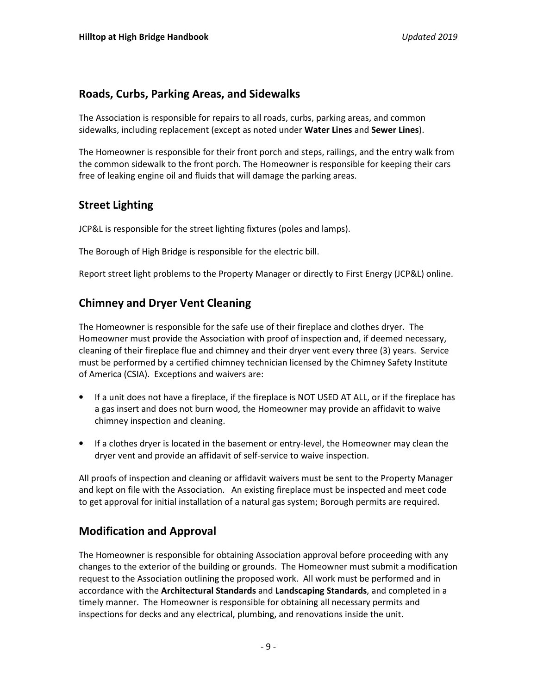#### Roads, Curbs, Parking Areas, and Sidewalks

The Association is responsible for repairs to all roads, curbs, parking areas, and common sidewalks, including replacement (except as noted under Water Lines and Sewer Lines).

The Homeowner is responsible for their front porch and steps, railings, and the entry walk from the common sidewalk to the front porch. The Homeowner is responsible for keeping their cars free of leaking engine oil and fluids that will damage the parking areas.

### Street Lighting

JCP&L is responsible for the street lighting fixtures (poles and lamps).

The Borough of High Bridge is responsible for the electric bill.

Report street light problems to the Property Manager or directly to First Energy (JCP&L) online.

### Chimney and Dryer Vent Cleaning

The Homeowner is responsible for the safe use of their fireplace and clothes dryer. The Homeowner must provide the Association with proof of inspection and, if deemed necessary, cleaning of their fireplace flue and chimney and their dryer vent every three (3) years. Service must be performed by a certified chimney technician licensed by the Chimney Safety Institute of America (CSIA). Exceptions and waivers are:

- If a unit does not have a fireplace, if the fireplace is NOT USED AT ALL, or if the fireplace has a gas insert and does not burn wood, the Homeowner may provide an affidavit to waive chimney inspection and cleaning.
- If a clothes dryer is located in the basement or entry-level, the Homeowner may clean the dryer vent and provide an affidavit of self-service to waive inspection.

All proofs of inspection and cleaning or affidavit waivers must be sent to the Property Manager and kept on file with the Association. An existing fireplace must be inspected and meet code to get approval for initial installation of a natural gas system; Borough permits are required.

### Modification and Approval

The Homeowner is responsible for obtaining Association approval before proceeding with any changes to the exterior of the building or grounds. The Homeowner must submit a modification request to the Association outlining the proposed work. All work must be performed and in accordance with the Architectural Standards and Landscaping Standards, and completed in a timely manner. The Homeowner is responsible for obtaining all necessary permits and inspections for decks and any electrical, plumbing, and renovations inside the unit.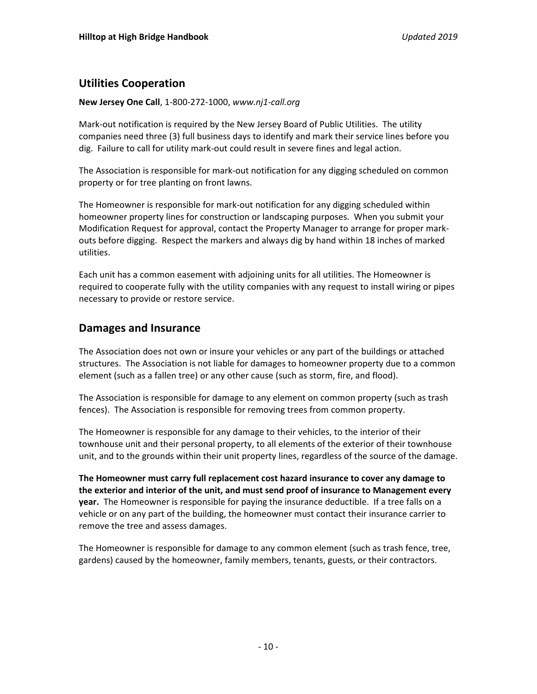## Utilities Cooperation

#### New Jersey One Call, 1-800-272-1000, www.nj1-call.org

Mark-out notification is required by the New Jersey Board of Public Utilities. The utility companies need three (3) full business days to identify and mark their service lines before you dig. Failure to call for utility mark-out could result in severe fines and legal action.

The Association is responsible for mark-out notification for any digging scheduled on common property or for tree planting on front lawns.

The Homeowner is responsible for mark-out notification for any digging scheduled within homeowner property lines for construction or landscaping purposes. When you submit your Modification Request for approval, contact the Property Manager to arrange for proper markouts before digging. Respect the markers and always dig by hand within 18 inches of marked utilities.

Each unit has a common easement with adjoining units for all utilities. The Homeowner is required to cooperate fully with the utility companies with any request to install wiring or pipes necessary to provide or restore service.

### Damages and Insurance

The Association does not own or insure your vehicles or any part of the buildings or attached structures. The Association is not liable for damages to homeowner property due to a common element (such as a fallen tree) or any other cause (such as storm, fire, and flood).

The Association is responsible for damage to any element on common property (such as trash fences). The Association is responsible for removing trees from common property.

The Homeowner is responsible for any damage to their vehicles, to the interior of their townhouse unit and their personal property, to all elements of the exterior of their townhouse unit, and to the grounds within their unit property lines, regardless of the source of the damage.

The Homeowner must carry full replacement cost hazard insurance to cover any damage to the exterior and interior of the unit, and must send proof of insurance to Management every **year.** The Homeowner is responsible for paying the insurance deductible. If a tree falls on a vehicle or on any part of the building, the homeowner must contact their insurance carrier to remove the tree and assess damages.

The Homeowner is responsible for damage to any common element (such as trash fence, tree, gardens) caused by the homeowner, family members, tenants, guests, or their contractors.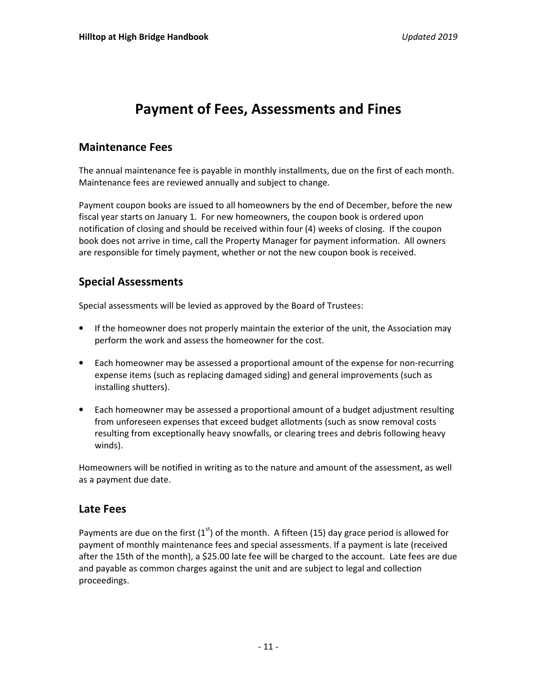# Payment of Fees, Assessments and Fines

#### Maintenance Fees

The annual maintenance fee is payable in monthly installments, due on the first of each month. Maintenance fees are reviewed annually and subject to change.

Payment coupon books are issued to all homeowners by the end of December, before the new fiscal year starts on January 1. For new homeowners, the coupon book is ordered upon notification of closing and should be received within four (4) weeks of closing. If the coupon book does not arrive in time, call the Property Manager for payment information. All owners are responsible for timely payment, whether or not the new coupon book is received.

### Special Assessments

Special assessments will be levied as approved by the Board of Trustees:

- If the homeowner does not properly maintain the exterior of the unit, the Association may perform the work and assess the homeowner for the cost.
- Each homeowner may be assessed a proportional amount of the expense for non-recurring expense items (such as replacing damaged siding) and general improvements (such as installing shutters).
- Each homeowner may be assessed a proportional amount of a budget adjustment resulting from unforeseen expenses that exceed budget allotments (such as snow removal costs resulting from exceptionally heavy snowfalls, or clearing trees and debris following heavy winds).

Homeowners will be notified in writing as to the nature and amount of the assessment, as well as a payment due date.

### Late Fees

Payments are due on the first  $(1<sup>st</sup>)$  of the month. A fifteen (15) day grace period is allowed for payment of monthly maintenance fees and special assessments. If a payment is late (received after the 15th of the month), a \$25.00 late fee will be charged to the account. Late fees are due and payable as common charges against the unit and are subject to legal and collection proceedings.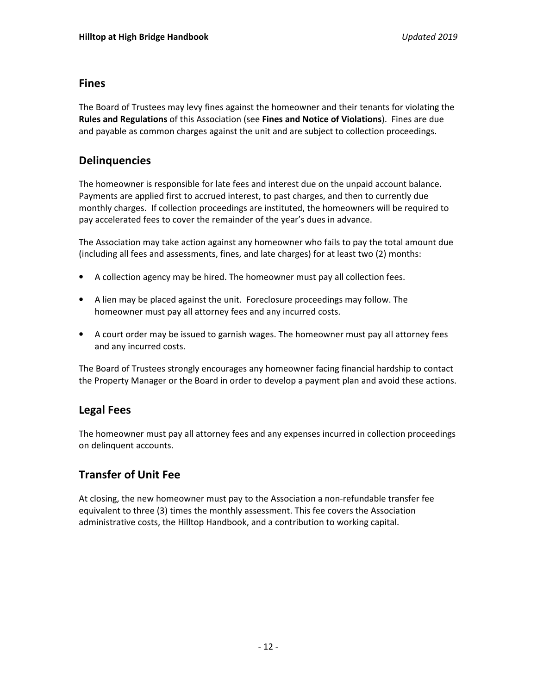#### Fines

The Board of Trustees may levy fines against the homeowner and their tenants for violating the Rules and Regulations of this Association (see Fines and Notice of Violations). Fines are due and payable as common charges against the unit and are subject to collection proceedings.

## **Delinquencies**

The homeowner is responsible for late fees and interest due on the unpaid account balance. Payments are applied first to accrued interest, to past charges, and then to currently due monthly charges. If collection proceedings are instituted, the homeowners will be required to pay accelerated fees to cover the remainder of the year's dues in advance.

The Association may take action against any homeowner who fails to pay the total amount due (including all fees and assessments, fines, and late charges) for at least two (2) months:

- A collection agency may be hired. The homeowner must pay all collection fees.
- A lien may be placed against the unit. Foreclosure proceedings may follow. The homeowner must pay all attorney fees and any incurred costs.
- A court order may be issued to garnish wages. The homeowner must pay all attorney fees and any incurred costs.

The Board of Trustees strongly encourages any homeowner facing financial hardship to contact the Property Manager or the Board in order to develop a payment plan and avoid these actions.

# Legal Fees

The homeowner must pay all attorney fees and any expenses incurred in collection proceedings on delinquent accounts.

# Transfer of Unit Fee

At closing, the new homeowner must pay to the Association a non-refundable transfer fee equivalent to three (3) times the monthly assessment. This fee covers the Association administrative costs, the Hilltop Handbook, and a contribution to working capital.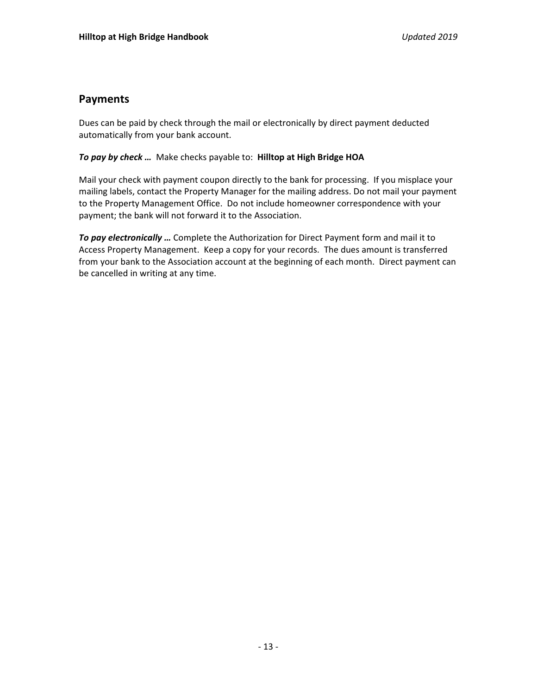#### Payments

Dues can be paid by check through the mail or electronically by direct payment deducted automatically from your bank account.

To pay by check ... Make checks payable to: Hilltop at High Bridge HOA

Mail your check with payment coupon directly to the bank for processing. If you misplace your mailing labels, contact the Property Manager for the mailing address. Do not mail your payment to the Property Management Office. Do not include homeowner correspondence with your payment; the bank will not forward it to the Association.

To pay electronically ... Complete the Authorization for Direct Payment form and mail it to Access Property Management. Keep a copy for your records. The dues amount is transferred from your bank to the Association account at the beginning of each month. Direct payment can be cancelled in writing at any time.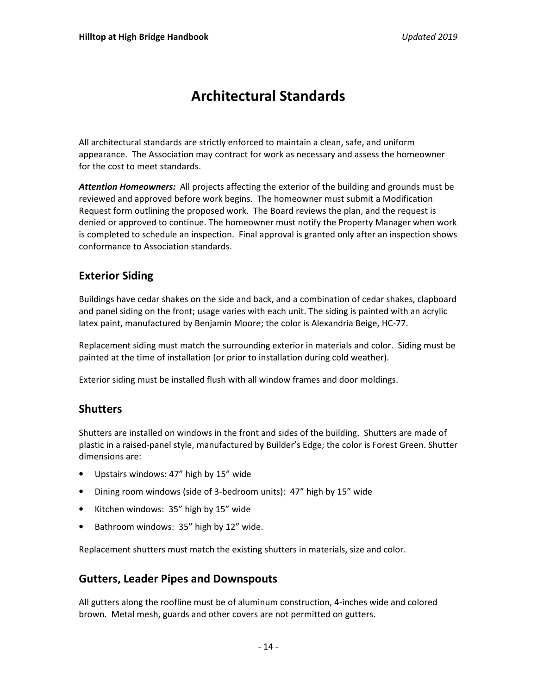# Architectural Standards

All architectural standards are strictly enforced to maintain a clean, safe, and uniform appearance. The Association may contract for work as necessary and assess the homeowner for the cost to meet standards.

Attention Homeowners: All projects affecting the exterior of the building and grounds must be reviewed and approved before work begins. The homeowner must submit a Modification Request form outlining the proposed work. The Board reviews the plan, and the request is denied or approved to continue. The homeowner must notify the Property Manager when work is completed to schedule an inspection. Final approval is granted only after an inspection shows conformance to Association standards.

## Exterior Siding

Buildings have cedar shakes on the side and back, and a combination of cedar shakes, clapboard and panel siding on the front; usage varies with each unit. The siding is painted with an acrylic latex paint, manufactured by Benjamin Moore; the color is Alexandria Beige, HC-77.

Replacement siding must match the surrounding exterior in materials and color. Siding must be painted at the time of installation (or prior to installation during cold weather).

Exterior siding must be installed flush with all window frames and door moldings.

#### **Shutters**

Shutters are installed on windows in the front and sides of the building. Shutters are made of plastic in a raised-panel style, manufactured by Builder's Edge; the color is Forest Green. Shutter dimensions are:

- Upstairs windows: 47" high by 15" wide
- Dining room windows (side of 3-bedroom units): 47" high by 15" wide
- Kitchen windows: 35" high by 15" wide
- Bathroom windows: 35" high by 12" wide.

Replacement shutters must match the existing shutters in materials, size and color.

### Gutters, Leader Pipes and Downspouts

All gutters along the roofline must be of aluminum construction, 4-inches wide and colored brown. Metal mesh, guards and other covers are not permitted on gutters.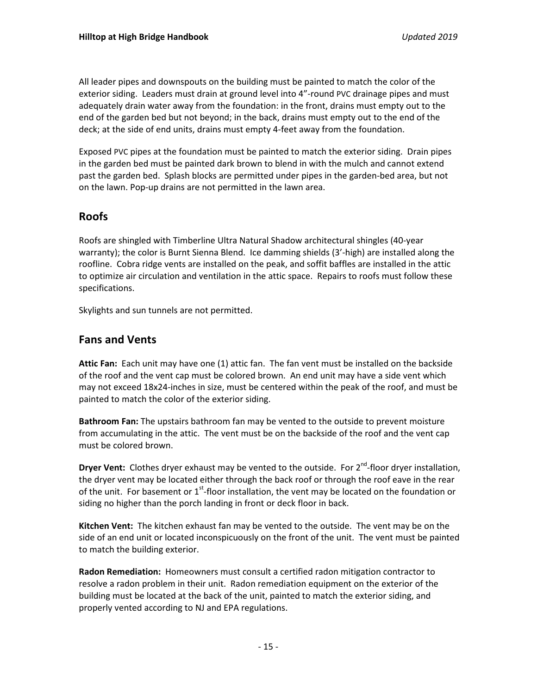All leader pipes and downspouts on the building must be painted to match the color of the exterior siding. Leaders must drain at ground level into 4"-round PVC drainage pipes and must adequately drain water away from the foundation: in the front, drains must empty out to the end of the garden bed but not beyond; in the back, drains must empty out to the end of the deck; at the side of end units, drains must empty 4-feet away from the foundation.

Exposed PVC pipes at the foundation must be painted to match the exterior siding. Drain pipes in the garden bed must be painted dark brown to blend in with the mulch and cannot extend past the garden bed. Splash blocks are permitted under pipes in the garden-bed area, but not on the lawn. Pop-up drains are not permitted in the lawn area.

## Roofs

Roofs are shingled with Timberline Ultra Natural Shadow architectural shingles (40-year warranty); the color is Burnt Sienna Blend. Ice damming shields (3'-high) are installed along the roofline. Cobra ridge vents are installed on the peak, and soffit baffles are installed in the attic to optimize air circulation and ventilation in the attic space. Repairs to roofs must follow these specifications.

Skylights and sun tunnels are not permitted.

### Fans and Vents

Attic Fan: Each unit may have one (1) attic fan. The fan vent must be installed on the backside of the roof and the vent cap must be colored brown. An end unit may have a side vent which may not exceed 18x24-inches in size, must be centered within the peak of the roof, and must be painted to match the color of the exterior siding.

Bathroom Fan: The upstairs bathroom fan may be vented to the outside to prevent moisture from accumulating in the attic. The vent must be on the backside of the roof and the vent cap must be colored brown.

**Dryer Vent:** Clothes dryer exhaust may be vented to the outside. For  $2^{nd}$ -floor dryer installation, the dryer vent may be located either through the back roof or through the roof eave in the rear of the unit. For basement or  $1<sup>st</sup>$ -floor installation, the vent may be located on the foundation or siding no higher than the porch landing in front or deck floor in back.

Kitchen Vent: The kitchen exhaust fan may be vented to the outside. The vent may be on the side of an end unit or located inconspicuously on the front of the unit. The vent must be painted to match the building exterior.

Radon Remediation: Homeowners must consult a certified radon mitigation contractor to resolve a radon problem in their unit. Radon remediation equipment on the exterior of the building must be located at the back of the unit, painted to match the exterior siding, and properly vented according to NJ and EPA regulations.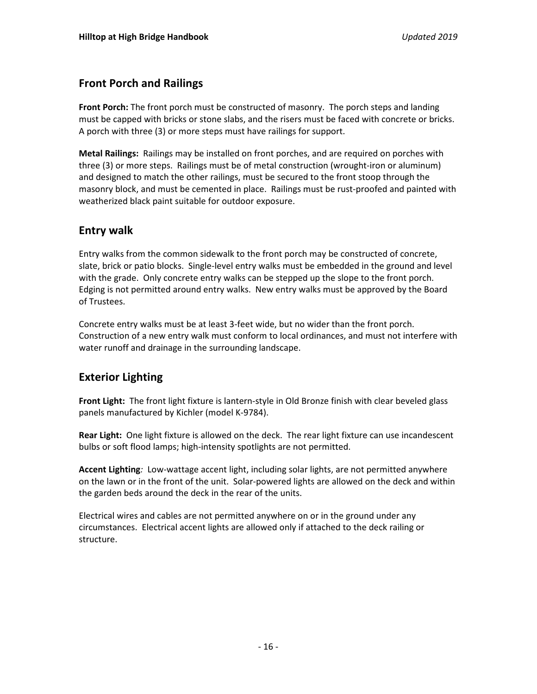# Front Porch and Railings

Front Porch: The front porch must be constructed of masonry. The porch steps and landing must be capped with bricks or stone slabs, and the risers must be faced with concrete or bricks. A porch with three (3) or more steps must have railings for support.

Metal Railings: Railings may be installed on front porches, and are required on porches with three (3) or more steps. Railings must be of metal construction (wrought-iron or aluminum) and designed to match the other railings, must be secured to the front stoop through the masonry block, and must be cemented in place. Railings must be rust-proofed and painted with weatherized black paint suitable for outdoor exposure.

## Entry walk

Entry walks from the common sidewalk to the front porch may be constructed of concrete, slate, brick or patio blocks. Single-level entry walks must be embedded in the ground and level with the grade. Only concrete entry walks can be stepped up the slope to the front porch. Edging is not permitted around entry walks. New entry walks must be approved by the Board of Trustees.

Concrete entry walks must be at least 3-feet wide, but no wider than the front porch. Construction of a new entry walk must conform to local ordinances, and must not interfere with water runoff and drainage in the surrounding landscape.

# Exterior Lighting

Front Light: The front light fixture is lantern-style in Old Bronze finish with clear beveled glass panels manufactured by Kichler (model K-9784).

Rear Light: One light fixture is allowed on the deck. The rear light fixture can use incandescent bulbs or soft flood lamps; high-intensity spotlights are not permitted.

Accent Lighting: Low-wattage accent light, including solar lights, are not permitted anywhere on the lawn or in the front of the unit. Solar-powered lights are allowed on the deck and within the garden beds around the deck in the rear of the units.

Electrical wires and cables are not permitted anywhere on or in the ground under any circumstances. Electrical accent lights are allowed only if attached to the deck railing or structure.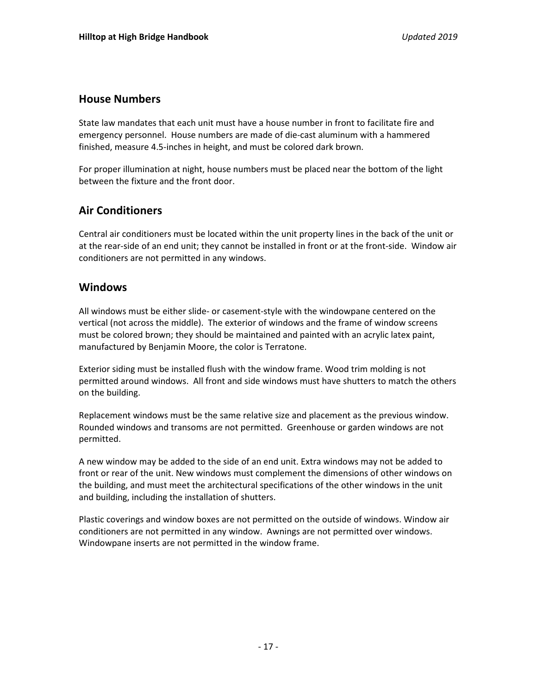#### House Numbers

State law mandates that each unit must have a house number in front to facilitate fire and emergency personnel. House numbers are made of die-cast aluminum with a hammered finished, measure 4.5-inches in height, and must be colored dark brown.

For proper illumination at night, house numbers must be placed near the bottom of the light between the fixture and the front door.

# Air Conditioners

Central air conditioners must be located within the unit property lines in the back of the unit or at the rear-side of an end unit; they cannot be installed in front or at the front-side. Window air conditioners are not permitted in any windows.

### Windows

All windows must be either slide- or casement-style with the windowpane centered on the vertical (not across the middle). The exterior of windows and the frame of window screens must be colored brown; they should be maintained and painted with an acrylic latex paint, manufactured by Benjamin Moore, the color is Terratone.

Exterior siding must be installed flush with the window frame. Wood trim molding is not permitted around windows. All front and side windows must have shutters to match the others on the building.

Replacement windows must be the same relative size and placement as the previous window. Rounded windows and transoms are not permitted. Greenhouse or garden windows are not permitted.

A new window may be added to the side of an end unit. Extra windows may not be added to front or rear of the unit. New windows must complement the dimensions of other windows on the building, and must meet the architectural specifications of the other windows in the unit and building, including the installation of shutters.

Plastic coverings and window boxes are not permitted on the outside of windows. Window air conditioners are not permitted in any window. Awnings are not permitted over windows. Windowpane inserts are not permitted in the window frame.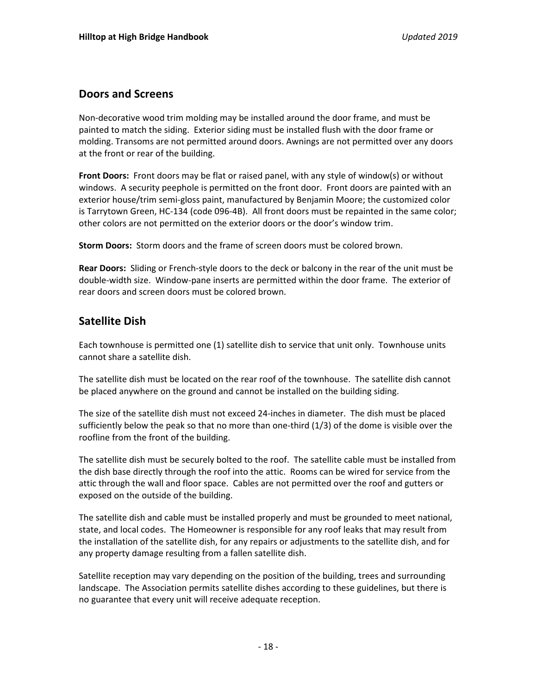#### Doors and Screens

Non-decorative wood trim molding may be installed around the door frame, and must be painted to match the siding. Exterior siding must be installed flush with the door frame or molding. Transoms are not permitted around doors. Awnings are not permitted over any doors at the front or rear of the building.

Front Doors: Front doors may be flat or raised panel, with any style of window(s) or without windows. A security peephole is permitted on the front door. Front doors are painted with an exterior house/trim semi-gloss paint, manufactured by Benjamin Moore; the customized color is Tarrytown Green, HC-134 (code 096-4B). All front doors must be repainted in the same color; other colors are not permitted on the exterior doors or the door's window trim.

Storm Doors: Storm doors and the frame of screen doors must be colored brown.

Rear Doors: Sliding or French-style doors to the deck or balcony in the rear of the unit must be double-width size. Window-pane inserts are permitted within the door frame. The exterior of rear doors and screen doors must be colored brown.

### Satellite Dish

Each townhouse is permitted one (1) satellite dish to service that unit only. Townhouse units cannot share a satellite dish.

The satellite dish must be located on the rear roof of the townhouse. The satellite dish cannot be placed anywhere on the ground and cannot be installed on the building siding.

The size of the satellite dish must not exceed 24-inches in diameter. The dish must be placed sufficiently below the peak so that no more than one-third (1/3) of the dome is visible over the roofline from the front of the building.

The satellite dish must be securely bolted to the roof. The satellite cable must be installed from the dish base directly through the roof into the attic. Rooms can be wired for service from the attic through the wall and floor space. Cables are not permitted over the roof and gutters or exposed on the outside of the building.

The satellite dish and cable must be installed properly and must be grounded to meet national, state, and local codes. The Homeowner is responsible for any roof leaks that may result from the installation of the satellite dish, for any repairs or adjustments to the satellite dish, and for any property damage resulting from a fallen satellite dish.

Satellite reception may vary depending on the position of the building, trees and surrounding landscape. The Association permits satellite dishes according to these guidelines, but there is no guarantee that every unit will receive adequate reception.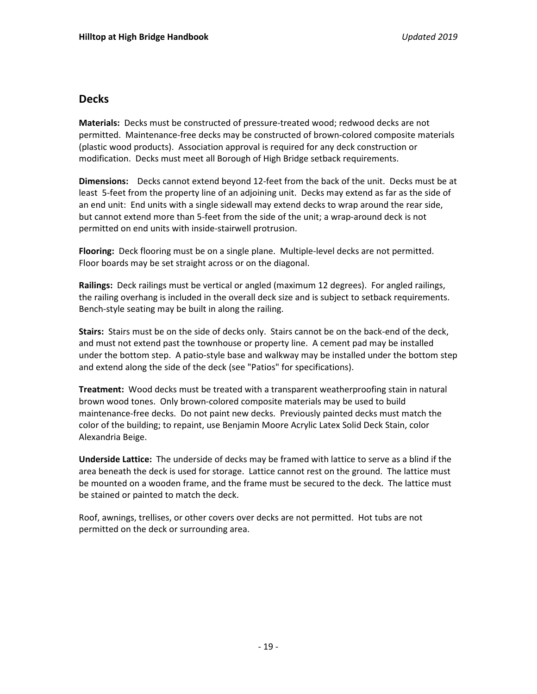#### **Decks**

Materials: Decks must be constructed of pressure-treated wood; redwood decks are not permitted. Maintenance-free decks may be constructed of brown-colored composite materials (plastic wood products). Association approval is required for any deck construction or modification. Decks must meet all Borough of High Bridge setback requirements.

Dimensions: Decks cannot extend beyond 12-feet from the back of the unit. Decks must be at least 5-feet from the property line of an adjoining unit. Decks may extend as far as the side of an end unit: End units with a single sidewall may extend decks to wrap around the rear side, but cannot extend more than 5-feet from the side of the unit; a wrap-around deck is not permitted on end units with inside-stairwell protrusion.

Flooring: Deck flooring must be on a single plane. Multiple-level decks are not permitted. Floor boards may be set straight across or on the diagonal.

Railings: Deck railings must be vertical or angled (maximum 12 degrees). For angled railings, the railing overhang is included in the overall deck size and is subject to setback requirements. Bench-style seating may be built in along the railing.

Stairs: Stairs must be on the side of decks only. Stairs cannot be on the back-end of the deck, and must not extend past the townhouse or property line. A cement pad may be installed under the bottom step. A patio-style base and walkway may be installed under the bottom step and extend along the side of the deck (see "Patios" for specifications).

Treatment: Wood decks must be treated with a transparent weatherproofing stain in natural brown wood tones. Only brown-colored composite materials may be used to build maintenance-free decks. Do not paint new decks. Previously painted decks must match the color of the building; to repaint, use Benjamin Moore Acrylic Latex Solid Deck Stain, color Alexandria Beige.

Underside Lattice: The underside of decks may be framed with lattice to serve as a blind if the area beneath the deck is used for storage. Lattice cannot rest on the ground. The lattice must be mounted on a wooden frame, and the frame must be secured to the deck. The lattice must be stained or painted to match the deck.

Roof, awnings, trellises, or other covers over decks are not permitted. Hot tubs are not permitted on the deck or surrounding area.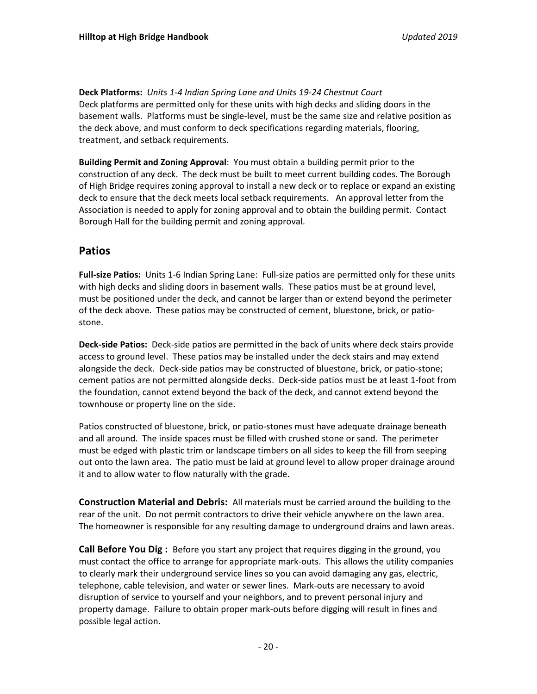Deck Platforms: Units 1-4 Indian Spring Lane and Units 19-24 Chestnut Court Deck platforms are permitted only for these units with high decks and sliding doors in the basement walls. Platforms must be single-level, must be the same size and relative position as the deck above, and must conform to deck specifications regarding materials, flooring, treatment, and setback requirements.

Building Permit and Zoning Approval: You must obtain a building permit prior to the construction of any deck. The deck must be built to meet current building codes. The Borough of High Bridge requires zoning approval to install a new deck or to replace or expand an existing deck to ensure that the deck meets local setback requirements. An approval letter from the Association is needed to apply for zoning approval and to obtain the building permit. Contact Borough Hall for the building permit and zoning approval.

### Patios

Full-size Patios: Units 1-6 Indian Spring Lane: Full-size patios are permitted only for these units with high decks and sliding doors in basement walls. These patios must be at ground level, must be positioned under the deck, and cannot be larger than or extend beyond the perimeter of the deck above. These patios may be constructed of cement, bluestone, brick, or patiostone.

Deck-side Patios: Deck-side patios are permitted in the back of units where deck stairs provide access to ground level. These patios may be installed under the deck stairs and may extend alongside the deck. Deck-side patios may be constructed of bluestone, brick, or patio-stone; cement patios are not permitted alongside decks. Deck-side patios must be at least 1-foot from the foundation, cannot extend beyond the back of the deck, and cannot extend beyond the townhouse or property line on the side.

Patios constructed of bluestone, brick, or patio-stones must have adequate drainage beneath and all around. The inside spaces must be filled with crushed stone or sand. The perimeter must be edged with plastic trim or landscape timbers on all sides to keep the fill from seeping out onto the lawn area. The patio must be laid at ground level to allow proper drainage around it and to allow water to flow naturally with the grade.

Construction Material and Debris: All materials must be carried around the building to the rear of the unit. Do not permit contractors to drive their vehicle anywhere on the lawn area. The homeowner is responsible for any resulting damage to underground drains and lawn areas.

Call Before You Dig : Before you start any project that requires digging in the ground, you must contact the office to arrange for appropriate mark-outs. This allows the utility companies to clearly mark their underground service lines so you can avoid damaging any gas, electric, telephone, cable television, and water or sewer lines. Mark-outs are necessary to avoid disruption of service to yourself and your neighbors, and to prevent personal injury and property damage. Failure to obtain proper mark-outs before digging will result in fines and possible legal action.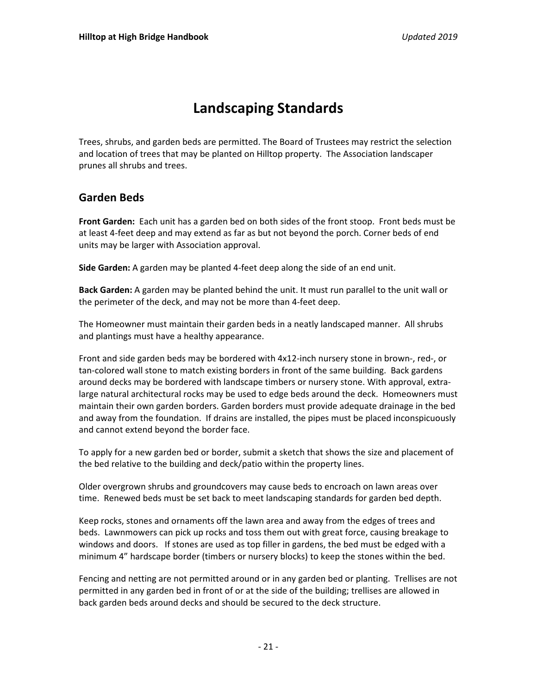# Landscaping Standards

Trees, shrubs, and garden beds are permitted. The Board of Trustees may restrict the selection and location of trees that may be planted on Hilltop property. The Association landscaper prunes all shrubs and trees.

#### Garden Beds

Front Garden: Each unit has a garden bed on both sides of the front stoop. Front beds must be at least 4-feet deep and may extend as far as but not beyond the porch. Corner beds of end units may be larger with Association approval.

Side Garden: A garden may be planted 4-feet deep along the side of an end unit.

Back Garden: A garden may be planted behind the unit. It must run parallel to the unit wall or the perimeter of the deck, and may not be more than 4-feet deep.

The Homeowner must maintain their garden beds in a neatly landscaped manner. All shrubs and plantings must have a healthy appearance.

Front and side garden beds may be bordered with 4x12-inch nursery stone in brown-, red-, or tan-colored wall stone to match existing borders in front of the same building. Back gardens around decks may be bordered with landscape timbers or nursery stone. With approval, extralarge natural architectural rocks may be used to edge beds around the deck. Homeowners must maintain their own garden borders. Garden borders must provide adequate drainage in the bed and away from the foundation. If drains are installed, the pipes must be placed inconspicuously and cannot extend beyond the border face.

To apply for a new garden bed or border, submit a sketch that shows the size and placement of the bed relative to the building and deck/patio within the property lines.

Older overgrown shrubs and groundcovers may cause beds to encroach on lawn areas over time. Renewed beds must be set back to meet landscaping standards for garden bed depth.

Keep rocks, stones and ornaments off the lawn area and away from the edges of trees and beds. Lawnmowers can pick up rocks and toss them out with great force, causing breakage to windows and doors. If stones are used as top filler in gardens, the bed must be edged with a minimum 4" hardscape border (timbers or nursery blocks) to keep the stones within the bed.

Fencing and netting are not permitted around or in any garden bed or planting. Trellises are not permitted in any garden bed in front of or at the side of the building; trellises are allowed in back garden beds around decks and should be secured to the deck structure.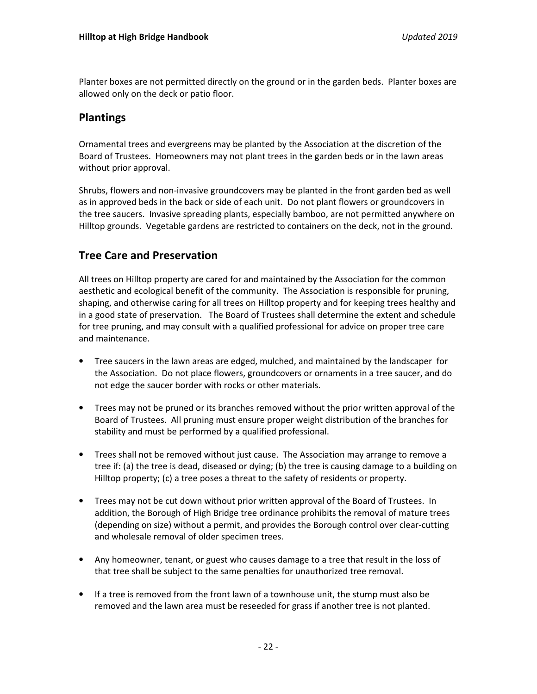Planter boxes are not permitted directly on the ground or in the garden beds. Planter boxes are allowed only on the deck or patio floor.

# Plantings

Ornamental trees and evergreens may be planted by the Association at the discretion of the Board of Trustees. Homeowners may not plant trees in the garden beds or in the lawn areas without prior approval.

Shrubs, flowers and non-invasive groundcovers may be planted in the front garden bed as well as in approved beds in the back or side of each unit. Do not plant flowers or groundcovers in the tree saucers. Invasive spreading plants, especially bamboo, are not permitted anywhere on Hilltop grounds. Vegetable gardens are restricted to containers on the deck, not in the ground.

# Tree Care and Preservation

All trees on Hilltop property are cared for and maintained by the Association for the common aesthetic and ecological benefit of the community. The Association is responsible for pruning, shaping, and otherwise caring for all trees on Hilltop property and for keeping trees healthy and in a good state of preservation. The Board of Trustees shall determine the extent and schedule for tree pruning, and may consult with a qualified professional for advice on proper tree care and maintenance.

- Tree saucers in the lawn areas are edged, mulched, and maintained by the landscaper for the Association. Do not place flowers, groundcovers or ornaments in a tree saucer, and do not edge the saucer border with rocks or other materials.
- Trees may not be pruned or its branches removed without the prior written approval of the Board of Trustees. All pruning must ensure proper weight distribution of the branches for stability and must be performed by a qualified professional.
- Trees shall not be removed without just cause. The Association may arrange to remove a tree if: (a) the tree is dead, diseased or dying; (b) the tree is causing damage to a building on Hilltop property; (c) a tree poses a threat to the safety of residents or property.
- Trees may not be cut down without prior written approval of the Board of Trustees. In addition, the Borough of High Bridge tree ordinance prohibits the removal of mature trees (depending on size) without a permit, and provides the Borough control over clear-cutting and wholesale removal of older specimen trees.
- Any homeowner, tenant, or guest who causes damage to a tree that result in the loss of that tree shall be subject to the same penalties for unauthorized tree removal.
- If a tree is removed from the front lawn of a townhouse unit, the stump must also be removed and the lawn area must be reseeded for grass if another tree is not planted.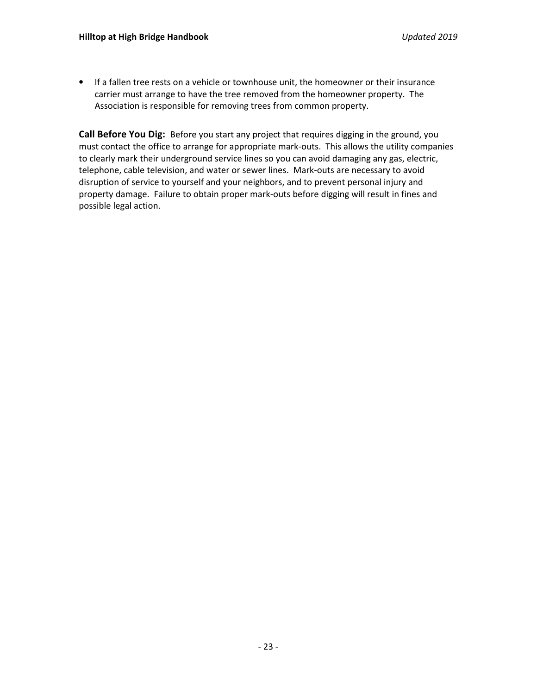• If a fallen tree rests on a vehicle or townhouse unit, the homeowner or their insurance carrier must arrange to have the tree removed from the homeowner property. The Association is responsible for removing trees from common property.

Call Before You Dig: Before you start any project that requires digging in the ground, you must contact the office to arrange for appropriate mark-outs. This allows the utility companies to clearly mark their underground service lines so you can avoid damaging any gas, electric, telephone, cable television, and water or sewer lines. Mark-outs are necessary to avoid disruption of service to yourself and your neighbors, and to prevent personal injury and property damage. Failure to obtain proper mark-outs before digging will result in fines and possible legal action.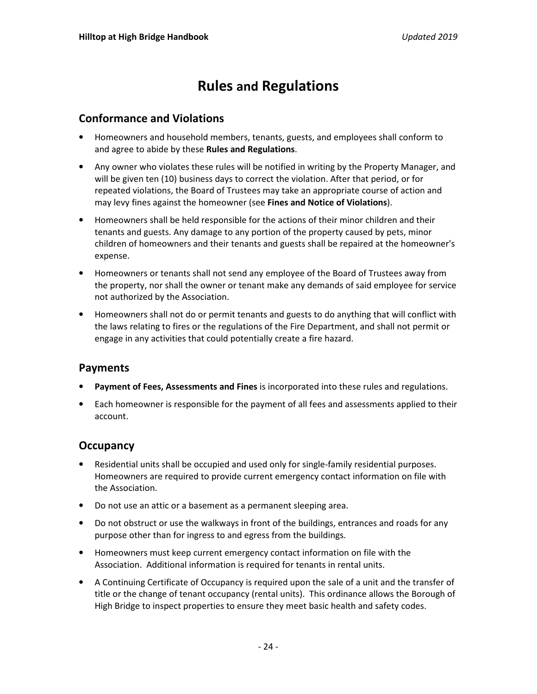# Rules and Regulations

#### Conformance and Violations

- Homeowners and household members, tenants, guests, and employees shall conform to and agree to abide by these Rules and Regulations.
- Any owner who violates these rules will be notified in writing by the Property Manager, and will be given ten (10) business days to correct the violation. After that period, or for repeated violations, the Board of Trustees may take an appropriate course of action and may levy fines against the homeowner (see Fines and Notice of Violations).
- Homeowners shall be held responsible for the actions of their minor children and their tenants and guests. Any damage to any portion of the property caused by pets, minor children of homeowners and their tenants and guests shall be repaired at the homeowner's expense.
- Homeowners or tenants shall not send any employee of the Board of Trustees away from the property, nor shall the owner or tenant make any demands of said employee for service not authorized by the Association.
- Homeowners shall not do or permit tenants and guests to do anything that will conflict with the laws relating to fires or the regulations of the Fire Department, and shall not permit or engage in any activities that could potentially create a fire hazard.

### Payments

- Payment of Fees, Assessments and Fines is incorporated into these rules and regulations.
- Each homeowner is responsible for the payment of all fees and assessments applied to their account.

### **Occupancy**

- Residential units shall be occupied and used only for single-family residential purposes. Homeowners are required to provide current emergency contact information on file with the Association.
- Do not use an attic or a basement as a permanent sleeping area.
- Do not obstruct or use the walkways in front of the buildings, entrances and roads for any purpose other than for ingress to and egress from the buildings.
- Homeowners must keep current emergency contact information on file with the Association. Additional information is required for tenants in rental units.
- A Continuing Certificate of Occupancy is required upon the sale of a unit and the transfer of title or the change of tenant occupancy (rental units). This ordinance allows the Borough of High Bridge to inspect properties to ensure they meet basic health and safety codes.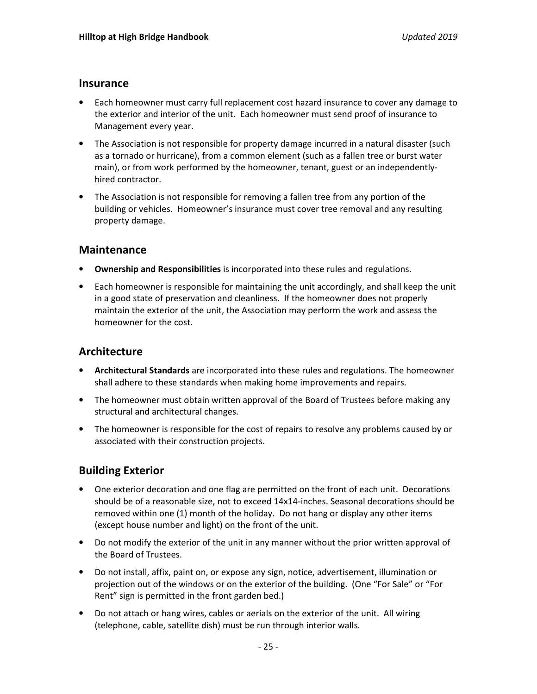#### Insurance

- Each homeowner must carry full replacement cost hazard insurance to cover any damage to the exterior and interior of the unit. Each homeowner must send proof of insurance to Management every year.
- The Association is not responsible for property damage incurred in a natural disaster (such as a tornado or hurricane), from a common element (such as a fallen tree or burst water main), or from work performed by the homeowner, tenant, guest or an independentlyhired contractor.
- The Association is not responsible for removing a fallen tree from any portion of the building or vehicles. Homeowner's insurance must cover tree removal and any resulting property damage.

#### **Maintenance**

- Ownership and Responsibilities is incorporated into these rules and regulations.
- Each homeowner is responsible for maintaining the unit accordingly, and shall keep the unit in a good state of preservation and cleanliness. If the homeowner does not properly maintain the exterior of the unit, the Association may perform the work and assess the homeowner for the cost.

### **Architecture**

- Architectural Standards are incorporated into these rules and regulations. The homeowner shall adhere to these standards when making home improvements and repairs.
- The homeowner must obtain written approval of the Board of Trustees before making any structural and architectural changes.
- The homeowner is responsible for the cost of repairs to resolve any problems caused by or associated with their construction projects.

### Building Exterior

- One exterior decoration and one flag are permitted on the front of each unit. Decorations should be of a reasonable size, not to exceed 14x14-inches. Seasonal decorations should be removed within one (1) month of the holiday. Do not hang or display any other items (except house number and light) on the front of the unit.
- Do not modify the exterior of the unit in any manner without the prior written approval of the Board of Trustees.
- Do not install, affix, paint on, or expose any sign, notice, advertisement, illumination or projection out of the windows or on the exterior of the building. (One "For Sale" or "For Rent" sign is permitted in the front garden bed.)
- Do not attach or hang wires, cables or aerials on the exterior of the unit. All wiring (telephone, cable, satellite dish) must be run through interior walls.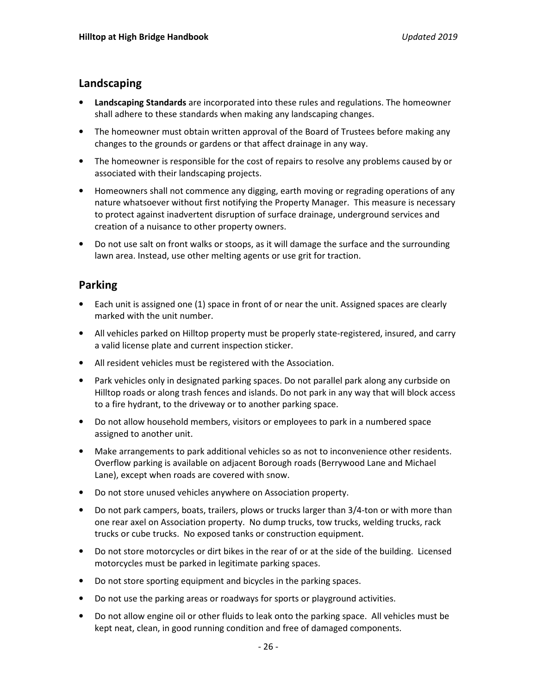### Landscaping

- Landscaping Standards are incorporated into these rules and regulations. The homeowner shall adhere to these standards when making any landscaping changes.
- The homeowner must obtain written approval of the Board of Trustees before making any changes to the grounds or gardens or that affect drainage in any way.
- The homeowner is responsible for the cost of repairs to resolve any problems caused by or associated with their landscaping projects.
- Homeowners shall not commence any digging, earth moving or regrading operations of any nature whatsoever without first notifying the Property Manager. This measure is necessary to protect against inadvertent disruption of surface drainage, underground services and creation of a nuisance to other property owners.
- Do not use salt on front walks or stoops, as it will damage the surface and the surrounding lawn area. Instead, use other melting agents or use grit for traction.

# Parking

- Each unit is assigned one (1) space in front of or near the unit. Assigned spaces are clearly marked with the unit number.
- All vehicles parked on Hilltop property must be properly state-registered, insured, and carry a valid license plate and current inspection sticker.
- All resident vehicles must be registered with the Association.
- Park vehicles only in designated parking spaces. Do not parallel park along any curbside on Hilltop roads or along trash fences and islands. Do not park in any way that will block access to a fire hydrant, to the driveway or to another parking space.
- Do not allow household members, visitors or employees to park in a numbered space assigned to another unit.
- Make arrangements to park additional vehicles so as not to inconvenience other residents. Overflow parking is available on adjacent Borough roads (Berrywood Lane and Michael Lane), except when roads are covered with snow.
- Do not store unused vehicles anywhere on Association property.
- Do not park campers, boats, trailers, plows or trucks larger than 3/4-ton or with more than one rear axel on Association property. No dump trucks, tow trucks, welding trucks, rack trucks or cube trucks. No exposed tanks or construction equipment.
- Do not store motorcycles or dirt bikes in the rear of or at the side of the building. Licensed motorcycles must be parked in legitimate parking spaces.
- Do not store sporting equipment and bicycles in the parking spaces.
- Do not use the parking areas or roadways for sports or playground activities.
- Do not allow engine oil or other fluids to leak onto the parking space. All vehicles must be kept neat, clean, in good running condition and free of damaged components.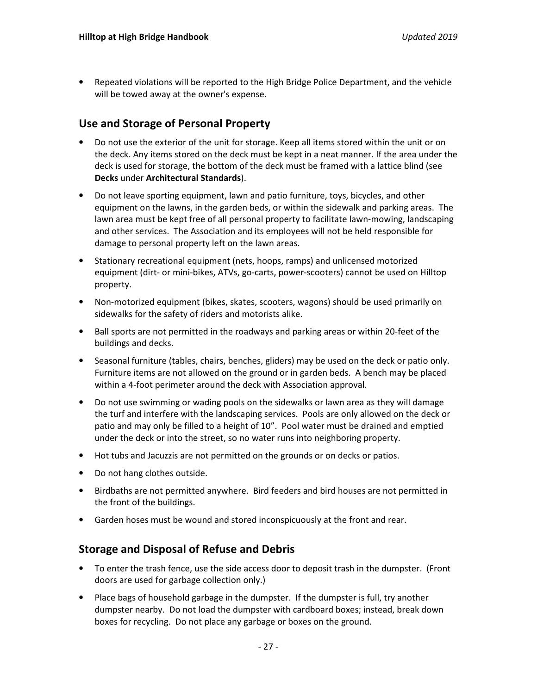• Repeated violations will be reported to the High Bridge Police Department, and the vehicle will be towed away at the owner's expense.

# Use and Storage of Personal Property

- Do not use the exterior of the unit for storage. Keep all items stored within the unit or on the deck. Any items stored on the deck must be kept in a neat manner. If the area under the deck is used for storage, the bottom of the deck must be framed with a lattice blind (see Decks under Architectural Standards).
- Do not leave sporting equipment, lawn and patio furniture, toys, bicycles, and other equipment on the lawns, in the garden beds, or within the sidewalk and parking areas. The lawn area must be kept free of all personal property to facilitate lawn-mowing, landscaping and other services. The Association and its employees will not be held responsible for damage to personal property left on the lawn areas.
- Stationary recreational equipment (nets, hoops, ramps) and unlicensed motorized equipment (dirt- or mini-bikes, ATVs, go-carts, power-scooters) cannot be used on Hilltop property.
- Non-motorized equipment (bikes, skates, scooters, wagons) should be used primarily on sidewalks for the safety of riders and motorists alike.
- Ball sports are not permitted in the roadways and parking areas or within 20-feet of the buildings and decks.
- Seasonal furniture (tables, chairs, benches, gliders) may be used on the deck or patio only. Furniture items are not allowed on the ground or in garden beds. A bench may be placed within a 4-foot perimeter around the deck with Association approval.
- Do not use swimming or wading pools on the sidewalks or lawn area as they will damage the turf and interfere with the landscaping services. Pools are only allowed on the deck or patio and may only be filled to a height of 10". Pool water must be drained and emptied under the deck or into the street, so no water runs into neighboring property.
- Hot tubs and Jacuzzis are not permitted on the grounds or on decks or patios.
- Do not hang clothes outside.
- Birdbaths are not permitted anywhere. Bird feeders and bird houses are not permitted in the front of the buildings.
- Garden hoses must be wound and stored inconspicuously at the front and rear.

### Storage and Disposal of Refuse and Debris

- To enter the trash fence, use the side access door to deposit trash in the dumpster. (Front doors are used for garbage collection only.)
- Place bags of household garbage in the dumpster. If the dumpster is full, try another dumpster nearby. Do not load the dumpster with cardboard boxes; instead, break down boxes for recycling. Do not place any garbage or boxes on the ground.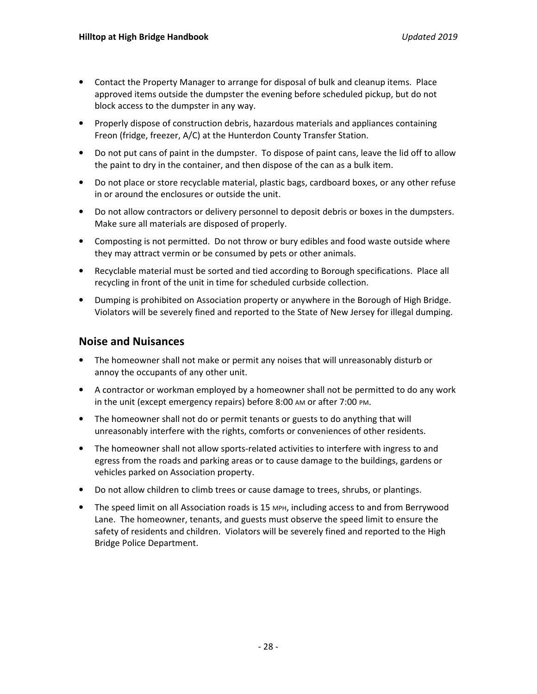- Contact the Property Manager to arrange for disposal of bulk and cleanup items. Place approved items outside the dumpster the evening before scheduled pickup, but do not block access to the dumpster in any way.
- Properly dispose of construction debris, hazardous materials and appliances containing Freon (fridge, freezer, A/C) at the Hunterdon County Transfer Station.
- Do not put cans of paint in the dumpster. To dispose of paint cans, leave the lid off to allow the paint to dry in the container, and then dispose of the can as a bulk item.
- Do not place or store recyclable material, plastic bags, cardboard boxes, or any other refuse in or around the enclosures or outside the unit.
- Do not allow contractors or delivery personnel to deposit debris or boxes in the dumpsters. Make sure all materials are disposed of properly.
- Composting is not permitted. Do not throw or bury edibles and food waste outside where they may attract vermin or be consumed by pets or other animals.
- Recyclable material must be sorted and tied according to Borough specifications. Place all recycling in front of the unit in time for scheduled curbside collection.
- Dumping is prohibited on Association property or anywhere in the Borough of High Bridge. Violators will be severely fined and reported to the State of New Jersey for illegal dumping.

#### Noise and Nuisances

- The homeowner shall not make or permit any noises that will unreasonably disturb or annoy the occupants of any other unit.
- A contractor or workman employed by a homeowner shall not be permitted to do any work in the unit (except emergency repairs) before 8:00 AM or after 7:00 PM.
- The homeowner shall not do or permit tenants or guests to do anything that will unreasonably interfere with the rights, comforts or conveniences of other residents.
- The homeowner shall not allow sports-related activities to interfere with ingress to and egress from the roads and parking areas or to cause damage to the buildings, gardens or vehicles parked on Association property.
- Do not allow children to climb trees or cause damage to trees, shrubs, or plantings.
- The speed limit on all Association roads is 15 MPH, including access to and from Berrywood Lane. The homeowner, tenants, and guests must observe the speed limit to ensure the safety of residents and children. Violators will be severely fined and reported to the High Bridge Police Department.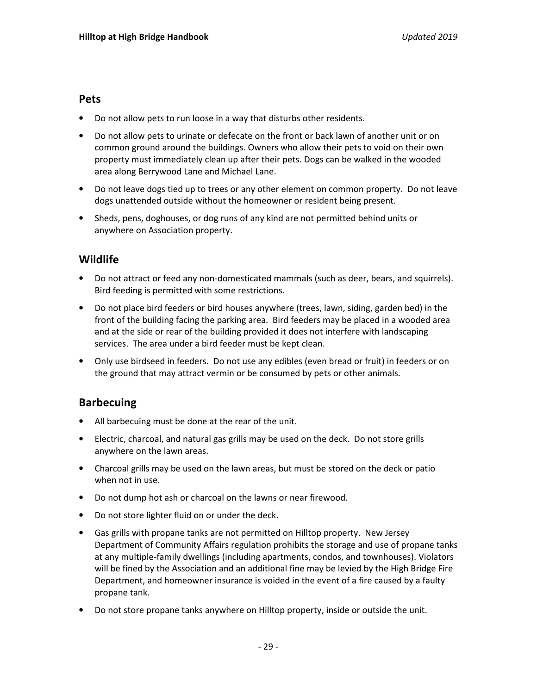#### Pets

- Do not allow pets to run loose in a way that disturbs other residents.
- Do not allow pets to urinate or defecate on the front or back lawn of another unit or on common ground around the buildings. Owners who allow their pets to void on their own property must immediately clean up after their pets. Dogs can be walked in the wooded area along Berrywood Lane and Michael Lane.
- Do not leave dogs tied up to trees or any other element on common property. Do not leave dogs unattended outside without the homeowner or resident being present.
- Sheds, pens, doghouses, or dog runs of any kind are not permitted behind units or anywhere on Association property.

## Wildlife

- Do not attract or feed any non-domesticated mammals (such as deer, bears, and squirrels). Bird feeding is permitted with some restrictions.
- Do not place bird feeders or bird houses anywhere (trees, lawn, siding, garden bed) in the front of the building facing the parking area. Bird feeders may be placed in a wooded area and at the side or rear of the building provided it does not interfere with landscaping services. The area under a bird feeder must be kept clean.
- Only use birdseed in feeders. Do not use any edibles (even bread or fruit) in feeders or on the ground that may attract vermin or be consumed by pets or other animals.

### Barbecuing

- All barbecuing must be done at the rear of the unit.
- Electric, charcoal, and natural gas grills may be used on the deck. Do not store grills anywhere on the lawn areas.
- Charcoal grills may be used on the lawn areas, but must be stored on the deck or patio when not in use.
- Do not dump hot ash or charcoal on the lawns or near firewood.
- Do not store lighter fluid on or under the deck.
- Gas grills with propane tanks are not permitted on Hilltop property. New Jersey Department of Community Affairs regulation prohibits the storage and use of propane tanks at any multiple-family dwellings (including apartments, condos, and townhouses). Violators will be fined by the Association and an additional fine may be levied by the High Bridge Fire Department, and homeowner insurance is voided in the event of a fire caused by a faulty propane tank.
- Do not store propane tanks anywhere on Hilltop property, inside or outside the unit.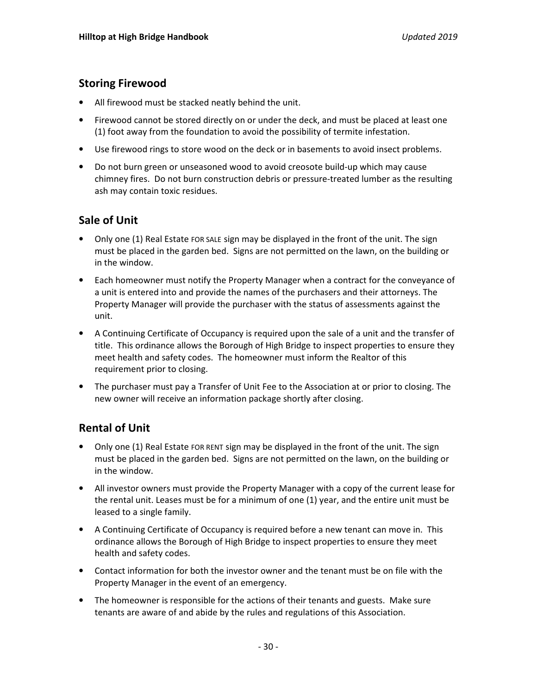## Storing Firewood

- All firewood must be stacked neatly behind the unit.
- Firewood cannot be stored directly on or under the deck, and must be placed at least one (1) foot away from the foundation to avoid the possibility of termite infestation.
- Use firewood rings to store wood on the deck or in basements to avoid insect problems.
- Do not burn green or unseasoned wood to avoid creosote build-up which may cause chimney fires. Do not burn construction debris or pressure-treated lumber as the resulting ash may contain toxic residues.

# Sale of Unit

- Only one (1) Real Estate FOR SALE sign may be displayed in the front of the unit. The sign must be placed in the garden bed. Signs are not permitted on the lawn, on the building or in the window.
- Each homeowner must notify the Property Manager when a contract for the conveyance of a unit is entered into and provide the names of the purchasers and their attorneys. The Property Manager will provide the purchaser with the status of assessments against the unit.
- A Continuing Certificate of Occupancy is required upon the sale of a unit and the transfer of title. This ordinance allows the Borough of High Bridge to inspect properties to ensure they meet health and safety codes. The homeowner must inform the Realtor of this requirement prior to closing.
- The purchaser must pay a Transfer of Unit Fee to the Association at or prior to closing. The new owner will receive an information package shortly after closing.

# Rental of Unit

- Only one (1) Real Estate FOR RENT sign may be displayed in the front of the unit. The sign must be placed in the garden bed. Signs are not permitted on the lawn, on the building or in the window.
- All investor owners must provide the Property Manager with a copy of the current lease for the rental unit. Leases must be for a minimum of one (1) year, and the entire unit must be leased to a single family.
- A Continuing Certificate of Occupancy is required before a new tenant can move in. This ordinance allows the Borough of High Bridge to inspect properties to ensure they meet health and safety codes.
- Contact information for both the investor owner and the tenant must be on file with the Property Manager in the event of an emergency.
- The homeowner is responsible for the actions of their tenants and guests. Make sure tenants are aware of and abide by the rules and regulations of this Association.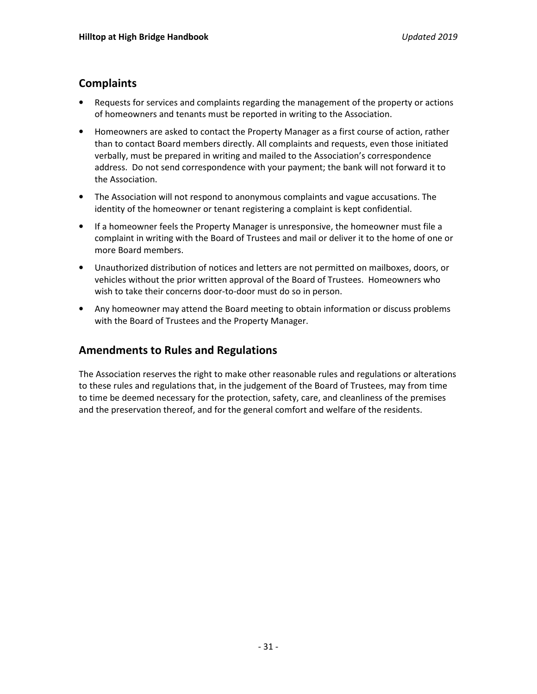## **Complaints**

- Requests for services and complaints regarding the management of the property or actions of homeowners and tenants must be reported in writing to the Association.
- Homeowners are asked to contact the Property Manager as a first course of action, rather than to contact Board members directly. All complaints and requests, even those initiated verbally, must be prepared in writing and mailed to the Association's correspondence address. Do not send correspondence with your payment; the bank will not forward it to the Association.
- The Association will not respond to anonymous complaints and vague accusations. The identity of the homeowner or tenant registering a complaint is kept confidential.
- If a homeowner feels the Property Manager is unresponsive, the homeowner must file a complaint in writing with the Board of Trustees and mail or deliver it to the home of one or more Board members.
- Unauthorized distribution of notices and letters are not permitted on mailboxes, doors, or vehicles without the prior written approval of the Board of Trustees. Homeowners who wish to take their concerns door-to-door must do so in person.
- Any homeowner may attend the Board meeting to obtain information or discuss problems with the Board of Trustees and the Property Manager.

# Amendments to Rules and Regulations

The Association reserves the right to make other reasonable rules and regulations or alterations to these rules and regulations that, in the judgement of the Board of Trustees, may from time to time be deemed necessary for the protection, safety, care, and cleanliness of the premises and the preservation thereof, and for the general comfort and welfare of the residents.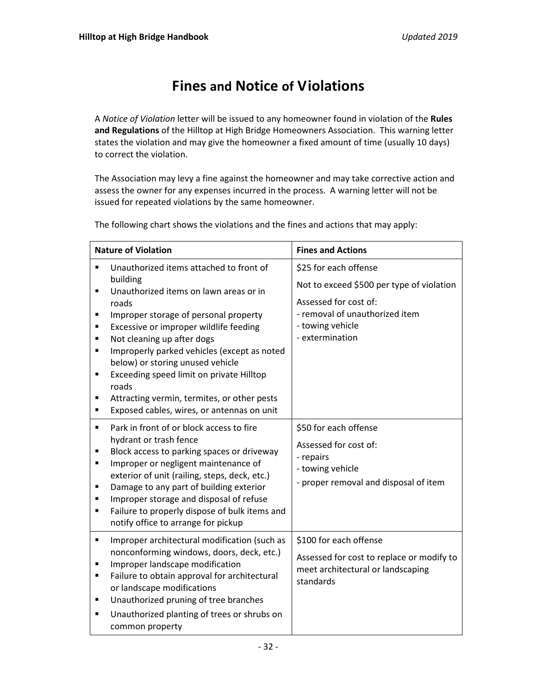# Fines and Notice of Violations

A Notice of Violation letter will be issued to any homeowner found in violation of the Rules and Regulations of the Hilltop at High Bridge Homeowners Association. This warning letter states the violation and may give the homeowner a fixed amount of time (usually 10 days) to correct the violation.

The Association may levy a fine against the homeowner and may take corrective action and assess the owner for any expenses incurred in the process. A warning letter will not be issued for repeated violations by the same homeowner.

| <b>Nature of Violation</b>                                                                                                                                                                                                                                                                                                                                                                                                                                                                                   | <b>Fines and Actions</b>                                                                                                                                             |
|--------------------------------------------------------------------------------------------------------------------------------------------------------------------------------------------------------------------------------------------------------------------------------------------------------------------------------------------------------------------------------------------------------------------------------------------------------------------------------------------------------------|----------------------------------------------------------------------------------------------------------------------------------------------------------------------|
| Unauthorized items attached to front of<br>building<br>Unauthorized items on lawn areas or in<br>roads<br>Improper storage of personal property<br>٠<br>Excessive or improper wildlife feeding<br>٠<br>Not cleaning up after dogs<br>$\blacksquare$<br>Improperly parked vehicles (except as noted<br>٠<br>below) or storing unused vehicle<br>Exceeding speed limit on private Hilltop<br>٠<br>roads<br>Attracting vermin, termites, or other pests<br>٠<br>Exposed cables, wires, or antennas on unit<br>٠ | \$25 for each offense<br>Not to exceed \$500 per type of violation<br>Assessed for cost of:<br>- removal of unauthorized item<br>- towing vehicle<br>- extermination |
| Park in front of or block access to fire<br>٠<br>hydrant or trash fence<br>Block access to parking spaces or driveway<br>٠<br>Improper or negligent maintenance of<br>٠<br>exterior of unit (railing, steps, deck, etc.)<br>Damage to any part of building exterior<br>٠<br>Improper storage and disposal of refuse<br>٠<br>Failure to properly dispose of bulk items and<br>٠<br>notify office to arrange for pickup                                                                                        | \$50 for each offense<br>Assessed for cost of:<br>- repairs<br>- towing vehicle<br>- proper removal and disposal of item                                             |
| Improper architectural modification (such as<br>$\blacksquare$<br>nonconforming windows, doors, deck, etc.)<br>Improper landscape modification<br>Failure to obtain approval for architectural<br>or landscape modifications<br>Unauthorized pruning of tree branches<br>٠<br>Unauthorized planting of trees or shrubs on<br>٠<br>common property                                                                                                                                                            | \$100 for each offense<br>Assessed for cost to replace or modify to<br>meet architectural or landscaping<br>standards                                                |

The following chart shows the violations and the fines and actions that may apply: